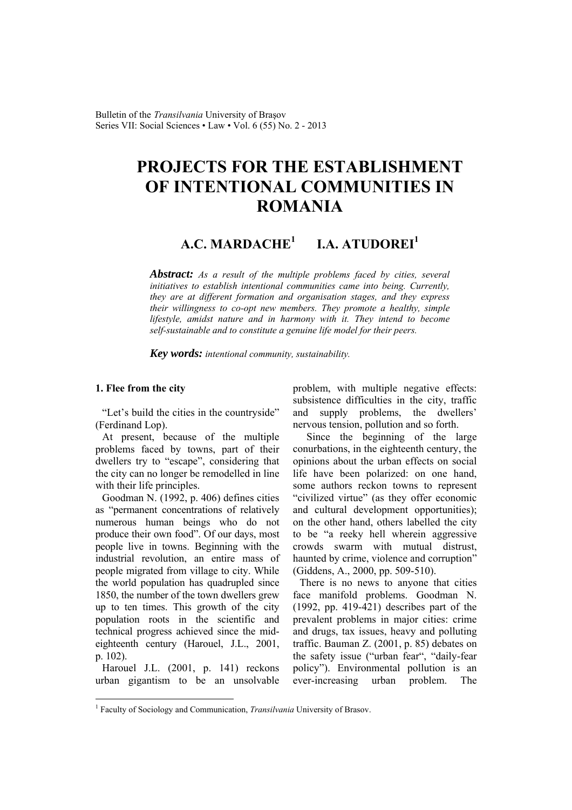Bulletin of the *Transilvania* University of Braşov Series VII: Social Sciences • Law • Vol. 6 (55) No. 2 - 2013

# **PROJECTS FOR THE ESTABLISHMENT OF INTENTIONAL COMMUNITIES IN ROMANIA**

#### **A.C. MARDACHE<sup>1</sup> I.A. ATUDOREI<sup>1</sup>**

*Abstract: As a result of the multiple problems faced by cities, several initiatives to establish intentional communities came into being. Currently, they are at different formation and organisation stages, and they express their willingness to co-opt new members. They promote a healthy, simple lifestyle, amidst nature and in harmony with it. They intend to become self-sustainable and to constitute a genuine life model for their peers.* 

*Key words: intentional community, sustainability.*

#### **1. Flee from the city**

"Let's build the cities in the countryside" (Ferdinand Lop).

At present, because of the multiple problems faced by towns, part of their dwellers try to "escape", considering that the city can no longer be remodelled in line with their life principles.

Goodman N. (1992, p. 406) defines cities as "permanent concentrations of relatively numerous human beings who do not produce their own food". Of our days, most people live in towns. Beginning with the industrial revolution, an entire mass of people migrated from village to city. While the world population has quadrupled since 1850, the number of the town dwellers grew up to ten times. This growth of the city population roots in the scientific and technical progress achieved since the mideighteenth century (Harouel, J.L., 2001, p. 102).

Harouel J.L. (2001, p. 141) reckons urban gigantism to be an unsolvable

 $\overline{a}$ 

problem, with multiple negative effects: subsistence difficulties in the city, traffic and supply problems, the dwellers' nervous tension, pollution and so forth.

Since the beginning of the large conurbations, in the eighteenth century, the opinions about the urban effects on social life have been polarized: on one hand, some authors reckon towns to represent "civilized virtue" (as they offer economic and cultural development opportunities); on the other hand, others labelled the city to be "a reeky hell wherein aggressive crowds swarm with mutual distrust, haunted by crime, violence and corruption" (Giddens, A., 2000, pp. 509-510).

There is no news to anyone that cities face manifold problems. Goodman N. (1992, pp. 419-421) describes part of the prevalent problems in major cities: crime and drugs, tax issues, heavy and polluting traffic. Bauman Z. (2001, p. 85) debates on the safety issue ("urban fear", "daily-fear policy"). Environmental pollution is an ever-increasing urban problem. The

<sup>&</sup>lt;sup>1</sup> Faculty of Sociology and Communication, *Transilvania* University of Brasov.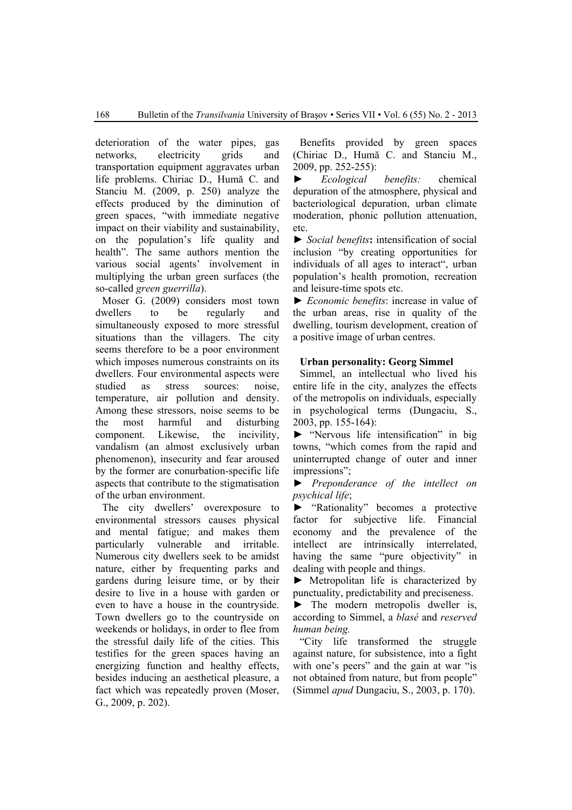deterioration of the water pipes, gas networks, electricity grids and transportation equipment aggravates urban life problems. Chiriac D., Humă C. and Stanciu M. (2009, p. 250) analyze the effects produced by the diminution of green spaces, "with immediate negative impact on their viability and sustainability, on the population's life quality and health". The same authors mention the various social agents' involvement in multiplying the urban green surfaces (the so-called *green guerrilla*).

Moser G. (2009) considers most town dwellers to be regularly and simultaneously exposed to more stressful situations than the villagers. The city seems therefore to be a poor environment which imposes numerous constraints on its dwellers. Four environmental aspects were studied as stress sources: noise, temperature, air pollution and density. Among these stressors, noise seems to be the most harmful and disturbing component. Likewise, the incivility, vandalism (an almost exclusively urban phenomenon), insecurity and fear aroused by the former are conurbation-specific life aspects that contribute to the stigmatisation of the urban environment.

The city dwellers' overexposure to environmental stressors causes physical and mental fatigue; and makes them particularly vulnerable and irritable. Numerous city dwellers seek to be amidst nature, either by frequenting parks and gardens during leisure time, or by their desire to live in a house with garden or even to have a house in the countryside. Town dwellers go to the countryside on weekends or holidays, in order to flee from the stressful daily life of the cities. This testifies for the green spaces having an energizing function and healthy effects, besides inducing an aesthetical pleasure, a fact which was repeatedly proven (Moser, G., 2009, p. 202).

Benefits provided by green spaces (Chiriac D., Humă C. and Stanciu M., 2009, pp. 252-255):

► *Ecological benefits:* chemical depuration of the atmosphere, physical and bacteriological depuration, urban climate moderation, phonic pollution attenuation, etc.

**►** *Social benefits***:** intensification of social inclusion "by creating opportunities for individuals of all ages to interact", urban population's health promotion, recreation and leisure-time spots etc.

► *Economic benefits*: increase in value of the urban areas, rise in quality of the dwelling, tourism development, creation of a positive image of urban centres.

### **Urban personality: Georg Simmel**

Simmel, an intellectual who lived his entire life in the city, analyzes the effects of the metropolis on individuals, especially in psychological terms (Dungaciu, S., 2003, pp. 155-164):

► "Nervous life intensification" in big towns, "which comes from the rapid and uninterrupted change of outer and inner impressions";

► *Preponderance of the intellect on psychical life*;

► "Rationality" becomes a protective factor for subjective life. Financial economy and the prevalence of the intellect are intrinsically interrelated, having the same "pure objectivity" in dealing with people and things.

► Metropolitan life is characterized by punctuality, predictability and preciseness.

 $\blacktriangleright$  The modern metropolis dweller is, according to Simmel, a *blasé* and *reserved human being.* 

"City life transformed the struggle against nature, for subsistence, into a fight with one's peers" and the gain at war "is not obtained from nature, but from people" (Simmel *apud* Dungaciu, S., 2003, p. 170).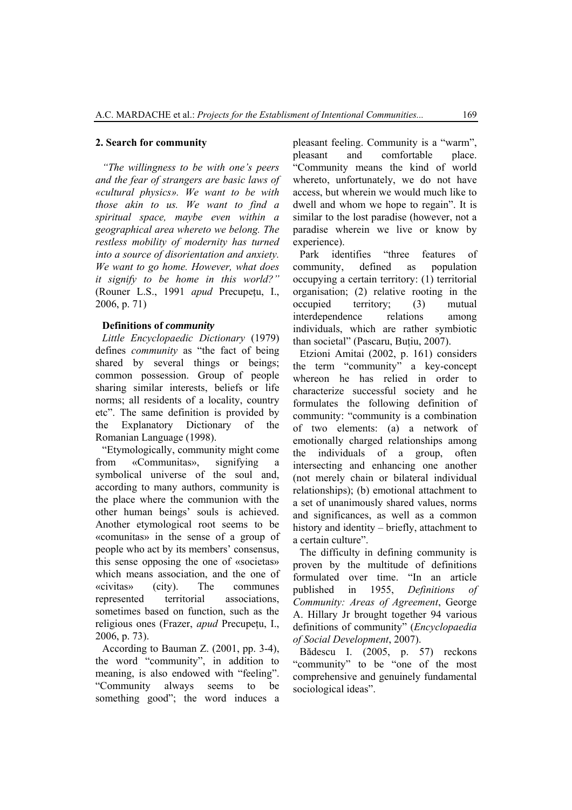#### **2. Search for community**

*"The willingness to be with one's peers and the fear of strangers are basic laws of «cultural physics». We want to be with those akin to us. We want to find a spiritual space, maybe even within a geographical area whereto we belong. The restless mobility of modernity has turned into a source of disorientation and anxiety. We want to go home. However, what does it signify to be home in this world?"* (Rouner L.S., 1991 *apud* Precupetu, I., 2006, p. 71)

### **Definitions of** *community*

*Little Encyclopaedic Dictionary* (1979) defines *community* as "the fact of being shared by several things or beings; common possession. Group of people sharing similar interests, beliefs or life norms; all residents of a locality, country etc". The same definition is provided by the Explanatory Dictionary of the Romanian Language (1998).

"Etymologically, community might come from «Communitas», signifying symbolical universe of the soul and, according to many authors, community is the place where the communion with the other human beings' souls is achieved. Another etymological root seems to be «comunitas» in the sense of a group of people who act by its members' consensus, this sense opposing the one of «societas» which means association, and the one of «civitas» (city). The communes represented territorial associations, sometimes based on function, such as the religious ones (Frazer, *apud* Precupeţu, I., 2006, p. 73).

According to Bauman Z. (2001, pp. 3-4), the word "community", in addition to meaning, is also endowed with "feeling". "Community always seems to be something good"; the word induces a pleasant feeling. Community is a "warm", pleasant and comfortable place. "Community means the kind of world whereto, unfortunately, we do not have access, but wherein we would much like to dwell and whom we hope to regain". It is similar to the lost paradise (however, not a paradise wherein we live or know by experience).

Park identifies "three features of community, defined as population occupying a certain territory: (1) territorial organisation; (2) relative rooting in the occupied territory; (3) mutual interdependence relations among individuals, which are rather symbiotic than societal" (Pascaru, Buţiu, 2007).

Etzioni Amitai (2002, p. 161) considers the term "community" a key-concept whereon he has relied in order to characterize successful society and he formulates the following definition of community: "community is a combination of two elements: (a) a network of emotionally charged relationships among the individuals of a group, often intersecting and enhancing one another (not merely chain or bilateral individual relationships); (b) emotional attachment to a set of unanimously shared values, norms and significances, as well as a common history and identity – briefly, attachment to a certain culture".

The difficulty in defining community is proven by the multitude of definitions formulated over time. "In an article published in 1955, *Definitions of Community: Areas of Agreement*, George A. Hillary Jr brought together 94 various definitions of community" (*Encyclopaedia of Social Development*, 2007).

Bădescu I. (2005, p. 57) reckons "community" to be "one of the most comprehensive and genuinely fundamental sociological ideas".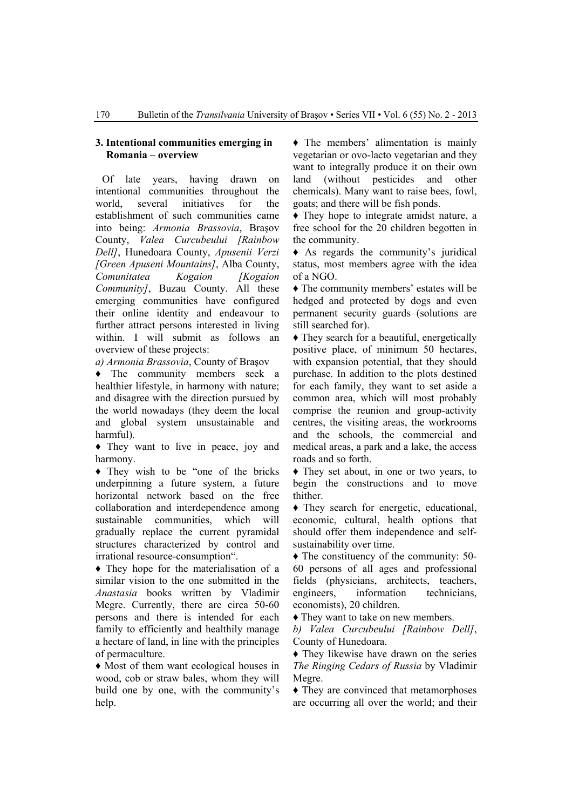#### **3. Intentional communities emerging in Romania – overview**

Of late years, having drawn on intentional communities throughout the world, several initiatives for the establishment of such communities came into being: *Armonia Brassovia*, Braşov County, *Valea Curcubeului [Rainbow Dell]*, Hunedoara County, *Apusenii Verzi [Green Apuseni Mountains]*, Alba County, *Comunitatea Kogaion [Kogaion Community]*, Buzau County. All these emerging communities have configured their online identity and endeavour to further attract persons interested in living within. I will submit as follows an overview of these projects:

*a) Armonia Brassovia*, County of Braşov

♦ The community members seek a healthier lifestyle, in harmony with nature; and disagree with the direction pursued by the world nowadays (they deem the local and global system unsustainable and harmful).

♦ They want to live in peace, joy and harmony.

♦ They wish to be "one of the bricks underpinning a future system, a future horizontal network based on the free collaboration and interdependence among sustainable communities, which will gradually replace the current pyramidal structures characterized by control and irrational resource-consumption".

♦ They hope for the materialisation of a similar vision to the one submitted in the *Anastasia* books written by Vladimir Megre. Currently, there are circa 50-60 persons and there is intended for each family to efficiently and healthily manage a hectare of land, in line with the principles of permaculture.

♦ Most of them want ecological houses in wood, cob or straw bales, whom they will build one by one, with the community's help.

♦ The members' alimentation is mainly vegetarian or ovo-lacto vegetarian and they want to integrally produce it on their own land (without pesticides and other chemicals). Many want to raise bees, fowl, goats; and there will be fish ponds.

♦ They hope to integrate amidst nature, a free school for the 20 children begotten in the community.

♦ As regards the community's juridical status, most members agree with the idea of a NGO.

♦ The community members' estates will be hedged and protected by dogs and even permanent security guards (solutions are still searched for).

♦ They search for a beautiful, energetically positive place, of minimum 50 hectares, with expansion potential, that they should purchase. In addition to the plots destined for each family, they want to set aside a common area, which will most probably comprise the reunion and group-activity centres, the visiting areas, the workrooms and the schools, the commercial and medical areas, a park and a lake, the access roads and so forth.

♦ They set about, in one or two years, to begin the constructions and to move thither.

♦ They search for energetic, educational, economic, cultural, health options that should offer them independence and selfsustainability over time.

♦ The constituency of the community: 50- 60 persons of all ages and professional fields (physicians, architects, teachers, engineers, information technicians, economists), 20 children.

♦ They want to take on new members.

*b) Valea Curcubeului [Rainbow Dell]*, County of Hunedoara.

♦ They likewise have drawn on the series *The Ringing Cedars of Russia* by Vladimir Megre.

♦ They are convinced that metamorphoses are occurring all over the world; and their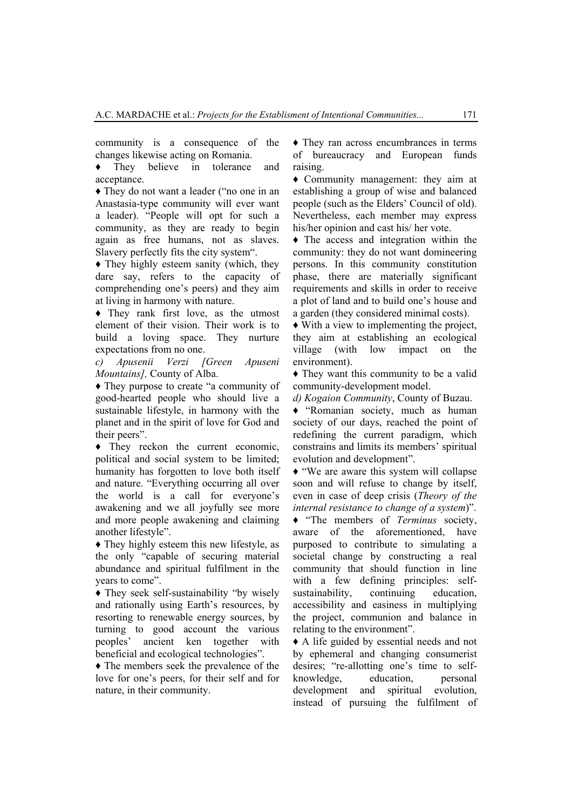community is a consequence of the changes likewise acting on Romania.

♦ They believe in tolerance and acceptance.

♦ They do not want a leader ("no one in an Anastasia-type community will ever want a leader). "People will opt for such a community, as they are ready to begin again as free humans, not as slaves. Slavery perfectly fits the city system".

• They highly esteem sanity (which, they dare say, refers to the capacity of comprehending one's peers) and they aim at living in harmony with nature.

♦ They rank first love, as the utmost element of their vision. Their work is to build a loving space. They nurture expectations from no one.

*c) Apusenii Verzi [Green Apuseni Mountains],* County of Alba.

♦ They purpose to create "a community of good-hearted people who should live a sustainable lifestyle, in harmony with the planet and in the spirit of love for God and their peers".

♦ They reckon the current economic, political and social system to be limited; humanity has forgotten to love both itself and nature. "Everything occurring all over the world is a call for everyone's awakening and we all joyfully see more and more people awakening and claiming another lifestyle".

♦ They highly esteem this new lifestyle, as the only "capable of securing material abundance and spiritual fulfilment in the years to come".

♦ They seek self-sustainability "by wisely and rationally using Earth's resources, by resorting to renewable energy sources, by turning to good account the various peoples' ancient ken together with beneficial and ecological technologies".

♦ The members seek the prevalence of the love for one's peers, for their self and for nature, in their community.

♦ They ran across encumbrances in terms of bureaucracy and European funds raising.

♦ Community management: they aim at establishing a group of wise and balanced people (such as the Elders' Council of old). Nevertheless, each member may express his/her opinion and cast his/ her vote.

♦ The access and integration within the community: they do not want domineering persons. In this community constitution phase, there are materially significant requirements and skills in order to receive a plot of land and to build one's house and a garden (they considered minimal costs).

♦ With a view to implementing the project, they aim at establishing an ecological village (with low impact on the environment).

♦ They want this community to be a valid community-development model.

*d) Kogaion Community*, County of Buzau.

♦ "Romanian society, much as human society of our days, reached the point of redefining the current paradigm, which constrains and limits its members' spiritual evolution and development".

♦ "We are aware this system will collapse soon and will refuse to change by itself, even in case of deep crisis (*Theory of the internal resistance to change of a system*)".

♦ "The members of *Terminus* society, aware of the aforementioned, have purposed to contribute to simulating a societal change by constructing a real community that should function in line with a few defining principles: selfsustainability, continuing education, accessibility and easiness in multiplying the project, communion and balance in relating to the environment".

♦ A life guided by essential needs and not by ephemeral and changing consumerist desires; "re-allotting one's time to selfknowledge, education, personal development and spiritual evolution, instead of pursuing the fulfilment of